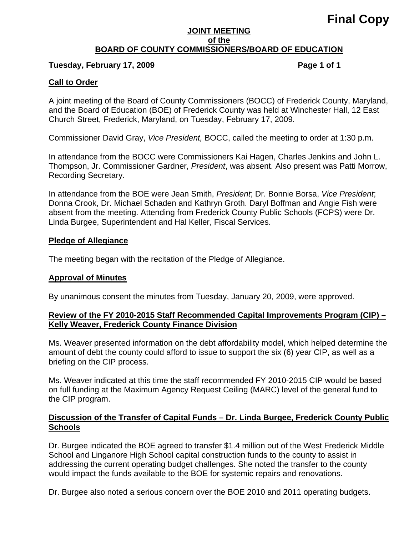# **Final Copy**

#### **JOINT MEETING of the BOARD OF COUNTY COMMISSIONERS/BOARD OF EDUCATION**

# Tuesday, February 17, 2009 **Page 1 of 1 Page 1 of 1**

### **Call to Order**

A joint meeting of the Board of County Commissioners (BOCC) of Frederick County, Maryland, and the Board of Education (BOE) of Frederick County was held at Winchester Hall, 12 East Church Street, Frederick, Maryland, on Tuesday, February 17, 2009.

Commissioner David Gray, *Vice President,* BOCC, called the meeting to order at 1:30 p.m.

In attendance from the BOCC were Commissioners Kai Hagen, Charles Jenkins and John L. Thompson, Jr. Commissioner Gardner, *President*, was absent. Also present was Patti Morrow, Recording Secretary.

In attendance from the BOE were Jean Smith, *President*; Dr. Bonnie Borsa, *Vice President*; Donna Crook, Dr. Michael Schaden and Kathryn Groth. Daryl Boffman and Angie Fish were absent from the meeting. Attending from Frederick County Public Schools (FCPS) were Dr. Linda Burgee, Superintendent and Hal Keller, Fiscal Services.

#### **Pledge of Allegiance**

The meeting began with the recitation of the Pledge of Allegiance.

### **Approval of Minutes**

By unanimous consent the minutes from Tuesday, January 20, 2009, were approved.

# **Review of the FY 2010-2015 Staff Recommended Capital Improvements Program (CIP) – Kelly Weaver, Frederick County Finance Division**

Ms. Weaver presented information on the debt affordability model, which helped determine the amount of debt the county could afford to issue to support the six (6) year CIP, as well as a briefing on the CIP process.

Ms. Weaver indicated at this time the staff recommended FY 2010-2015 CIP would be based on full funding at the Maximum Agency Request Ceiling (MARC) level of the general fund to the CIP program.

# **Discussion of the Transfer of Capital Funds – Dr. Linda Burgee, Frederick County Public Schools**

Dr. Burgee indicated the BOE agreed to transfer \$1.4 million out of the West Frederick Middle School and Linganore High School capital construction funds to the county to assist in addressing the current operating budget challenges. She noted the transfer to the county would impact the funds available to the BOE for systemic repairs and renovations.

Dr. Burgee also noted a serious concern over the BOE 2010 and 2011 operating budgets.